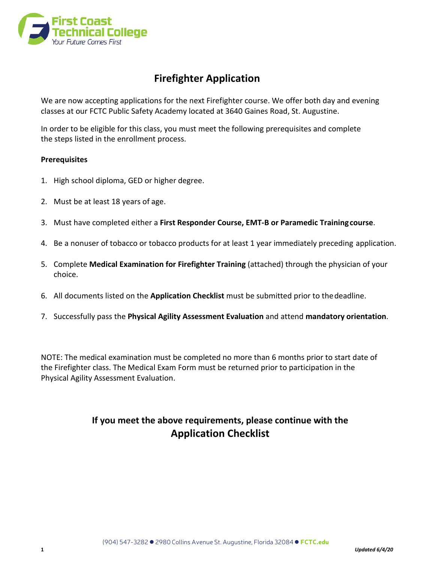

# **Firefighter Application**

We are now accepting applications for the next Firefighter course. We offer both day and evening classes at our FCTC Public Safety Academy located at 3640 Gaines Road, St. Augustine.

In order to be eligible for this class, you must meet the following prerequisites and complete the steps listed in the enrollment process.

## **Prerequisites**

- 1. High school diploma, GED or higher degree.
- 2. Must be at least 18 years of age.
- 3. Must have completed either a **First Responder Course, EMT-B or Paramedic Trainingcourse**.
- 4. Be a nonuser of tobacco or tobacco products for at least 1 year immediately preceding application.
- 5. Complete **Medical Examination for Firefighter Training** (attached) through the physician of your choice.
- 6. All documents listed on the **Application Checklist** must be submitted prior to thedeadline.
- 7. Successfully pass the **Physical Agility Assessment Evaluation** and attend **mandatory orientation**.

NOTE: The medical examination must be completed no more than 6 months prior to start date of the Firefighter class. The Medical Exam Form must be returned prior to participation in the Physical Agility Assessment Evaluation.

# **If you meet the above requirements, please continue with the Application Checklist**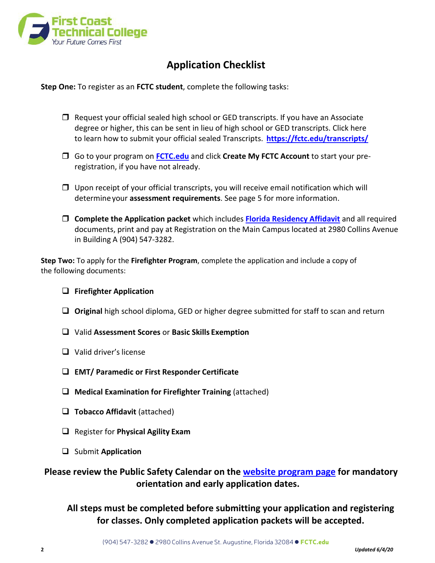

# **Application Checklist**

**Step One:** To register as an **FCTC student**, complete the following tasks:

- $\Box$  Request your official sealed high school or GED transcripts. If you have an Associate degree or higher, this can be sent in lieu of high school or GED transcripts. Click here to learn how to submit your official sealed Transcripts. **<https://fctc.edu/transcripts/>**
- Go to your program on **[FCTC.edu](https://fctc.edu/programs/paramedic/)** and click **Create My FCTC Account** to start your preregistration, if you have not already.
- $\Box$  Upon receipt of your official transcripts, you will receive email notification which will determineyour **assessment requirements**. See page 5 for more information.
- **Complete the Application packet** which includes **[Florida Residency Affidavit](https://fctc.edu/consumer/florida-residency/)** and all required documents, print and pay at Registration on the Main Campus located at 2980 Collins Avenue in Building A (904) 547-3282.

**Step Two:** To apply for the **Firefighter Program**, complete the application and include a copy of the following documents:

## **Firefighter Application**

- **Original** high school diploma, GED or higher degree submitted for staff to scan and return
- Valid **Assessment Scores** or **Basic Skills Exemption**
- Valid driver's license
- **EMT/ Paramedic or First Responder Certificate**
- **Medical Examination for Firefighter Training** (attached)
- **Tobacco Affidavit** (attached)
- Register for **Physical Agility Exam**
- Submit **Application**

**Please review the Public Safety Calendar on the [website program page](https://fctc.edu/programs/firefighter/) for mandatory orientation and early application dates.**

**All steps must be completed before submitting your application and registering for classes. Only completed application packets will be accepted.**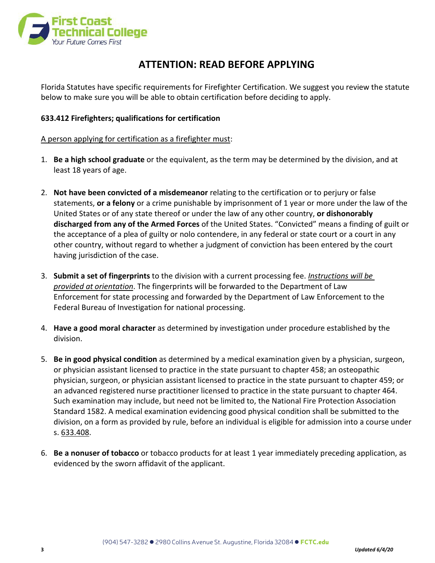

# **ATTENTION: READ BEFORE APPLYING**

Florida Statutes have specific requirements for Firefighter Certification. We suggest you review the statute below to make sure you will be able to obtain certification before deciding to apply.

## **633.412 Firefighters; qualifications for certification**

### A person applying for certification as a firefighter must:

- 1. **Be a high school graduate** or the equivalent, as the term may be determined by the division, and at least 18 years of age.
- 2. **Not have been convicted of a misdemeanor** relating to the certification or to perjury or false statements, **or a felony** or a crime punishable by imprisonment of 1 year or more under the law of the United States or of any state thereof or under the law of any other country, **or dishonorably discharged from any of the Armed Forces** of the United States. "Convicted" means a finding of guilt or the acceptance of a plea of guilty or nolo contendere, in any federal or state court or a court in any other country, without regard to whether a judgment of conviction has been entered by the court having jurisdiction of the case.
- 3. **Submit a set of fingerprints** to the division with a current processing fee. *Instructions will be provided at orientation*. The fingerprints will be forwarded to the Department of Law Enforcement for state processing and forwarded by the Department of Law Enforcement to the Federal Bureau of Investigation for national processing.
- 4. **Have a good moral character** as determined by investigation under procedure established by the division.
- 5. **Be in good physical condition** as determined by a medical examination given by a physician, surgeon, or physician assistant licensed to practice in the state pursuant to chapter 458; an osteopathic physician, surgeon, or physician assistant licensed to practice in the state pursuant to chapter 459; or an advanced registered nurse practitioner licensed to practice in the state pursuant to chapter 464. Such examination may include, but need not be limited to, the National Fire Protection Association Standard 1582. A medical examination evidencing good physical condition shall be submitted to the division, on a form as provided by rule, before an individual is eligible for admission into a course under s. 633.408.
- 6. **Be a nonuser of tobacco** or tobacco products for at least 1 year immediately preceding application, as evidenced by the sworn affidavit of the applicant.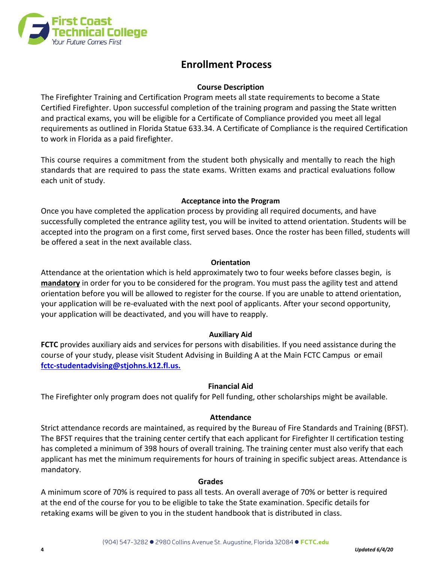

# **Enrollment Process**

## **Course Description**

The Firefighter Training and Certification Program meets all state requirements to become a State Certified Firefighter. Upon successful completion of the training program and passing the State written and practical exams, you will be eligible for a Certificate of Compliance provided you meet all legal requirements as outlined in Florida Statue 633.34. A Certificate of Compliance is the required Certification to work in Florida as a paid firefighter.

This course requires a commitment from the student both physically and mentally to reach the high standards that are required to pass the state exams. Written exams and practical evaluations follow each unit of study.

## **Acceptance into the Program**

Once you have completed the application process by providing all required documents, and have successfully completed the entrance agility test, you will be invited to attend orientation. Students will be accepted into the program on a first come, first served bases. Once the roster has been filled, students will be offered a seat in the next available class.

## **Orientation**

Attendance at the orientation which is held approximately two to four weeks before classes begin, is **mandatory** in order for you to be considered for the program. You must pass the agility test and attend orientation before you will be allowed to register for the course. If you are unable to attend orientation, your application will be re-evaluated with the next pool of applicants. After your second opportunity, your application will be deactivated, and you will have to reapply.

# **Auxiliary Aid**

**FCTC** provides auxiliary aids and services for persons with disabilities. If you need assistance during the course of your study, please visit Student Advising in Building A at the Main FCTC Campus or email **[fctc-studentadvising@stjohns.k12.fl.us.](mailto:fctc-studentadvising@stjohns.k12.fl.us)**

## **Financial Aid**

The Firefighter only program does not qualify for Pell funding, other scholarships might be available.

## **Attendance**

Strict attendance records are maintained, as required by the Bureau of Fire Standards and Training (BFST). The BFST requires that the training center certify that each applicant for Firefighter II certification testing has completed a minimum of 398 hours of overall training. The training center must also verify that each applicant has met the minimum requirements for hours of training in specific subject areas. Attendance is mandatory.

#### **Grades**

A minimum score of 70% is required to pass all tests. An overall average of 70% or better is required at the end of the course for you to be eligible to take the State examination. Specific details for retaking exams will be given to you in the student handbook that is distributed in class.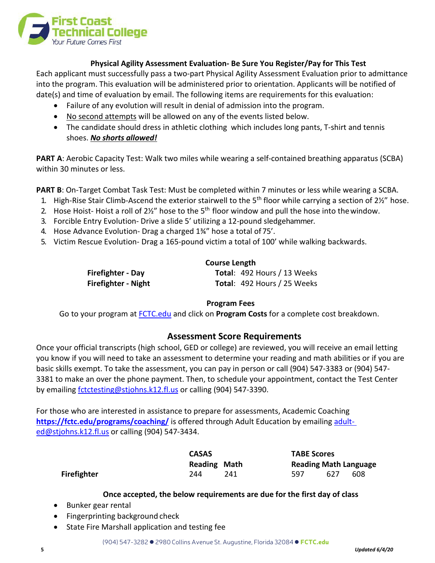

### **Physical Agility Assessment Evaluation- Be Sure You Register/Pay for This Test**

Each applicant must successfully pass a two-part Physical Agility Assessment Evaluation prior to admittance into the program. This evaluation will be administered prior to orientation. Applicants will be notified of date(s) and time of evaluation by email. The following items are requirements for this evaluation:

- Failure of any evolution will result in denial of admission into the program.
- No second attempts will be allowed on any of the events listed below.
- The candidate should dress in athletic clothing which includes long pants, T-shirt and tennis shoes. *No shorts allowed!*

**PART A**: Aerobic Capacity Test: Walk two miles while wearing a self-contained breathing apparatus (SCBA) within 30 minutes or less.

PART B: On-Target Combat Task Test: Must be completed within 7 minutes or less while wearing a SCBA.

- 1. High-Rise Stair Climb-Ascend the exterior stairwell to the 5<sup>th</sup> floor while carrying a section of 2½" hose.
- 2. Hose Hoist-Hoist a roll of  $2\frac{1}{2}$ " hose to the 5<sup>th</sup> floor window and pull the hose into the window.
- 3. Forcible Entry Evolution- Drive a slide 5' utilizing a 12-pound sledgehammer.
- 4. Hose Advance Evolution- Drag a charged 1¾" hose a total of 75'.
- 5. Victim Rescue Evolution- Drag a 165-pound victim a total of 100' while walking backwards.

|                     | <b>Course Length</b>               |  |  |
|---------------------|------------------------------------|--|--|
| Firefighter - Day   | <b>Total: 492 Hours / 13 Weeks</b> |  |  |
| Firefighter - Night | <b>Total: 492 Hours / 25 Weeks</b> |  |  |

## **Program Fees**

Go to your program at [FCTC.edu](https://fctc.edu/programs/emt-paramedic/) and click on **Program Costs** for a complete cost breakdown.

# **Assessment Score Requirements**

Once your official transcripts (high school, GED or college) are reviewed, you will receive an email letting you know if you will need to take an assessment to determine your reading and math abilities or if you are basic skills exempt. To take the assessment, you can pay in person or call (904) 547-3383 or (904) 547- 3381 to make an over the phone payment. Then, to schedule your appointment, contact the Test Center by emailing **fctctesting@stjohns.k12.fl.us** or calling (904) 547-3390.

For those who are interested in assistance to prepare for assessments, Academic Coaching **<https://fctc.edu/programs/coaching/>** is offered through Adult Education by emailing adult[ed@stjohns.k12.fl.us](mailto:adult-ed@stjohns.k12.fl.us) or calling (904) 547-3434.

|                    | <b>CASAS</b>        |     | <b>TABE Scores</b> |     |                              |
|--------------------|---------------------|-----|--------------------|-----|------------------------------|
|                    | <b>Reading Math</b> |     |                    |     | <b>Reading Math Language</b> |
| <b>Firefighter</b> | 244                 | 241 | 597                | 627 | 608                          |

#### **Once accepted, the below requirements are due for the first day of class**

- Bunker gear rental
- Fingerprinting background check
- State Fire Marshall application and testing fee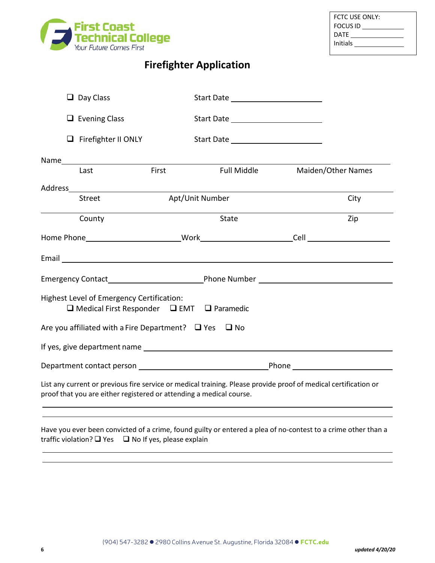

# **Firefighter Application**

|                                                                 | $\Box$ Day Class                                                                                                                                                                                                               |       |                                                                                                                          |  |                    |
|-----------------------------------------------------------------|--------------------------------------------------------------------------------------------------------------------------------------------------------------------------------------------------------------------------------|-------|--------------------------------------------------------------------------------------------------------------------------|--|--------------------|
|                                                                 | $\Box$ Evening Class                                                                                                                                                                                                           |       |                                                                                                                          |  |                    |
|                                                                 | $\Box$ Firefighter II ONLY                                                                                                                                                                                                     |       |                                                                                                                          |  |                    |
|                                                                 | Name and the state of the state of the state of the state of the state of the state of the state of the state of the state of the state of the state of the state of the state of the state of the state of the state of the s |       |                                                                                                                          |  |                    |
|                                                                 | Last                                                                                                                                                                                                                           | First | <b>Full Middle</b>                                                                                                       |  | Maiden/Other Names |
|                                                                 |                                                                                                                                                                                                                                |       |                                                                                                                          |  |                    |
|                                                                 | <b>Street</b>                                                                                                                                                                                                                  |       | Apt/Unit Number                                                                                                          |  | City               |
|                                                                 | County                                                                                                                                                                                                                         |       | State                                                                                                                    |  | Zip                |
|                                                                 |                                                                                                                                                                                                                                |       |                                                                                                                          |  |                    |
|                                                                 |                                                                                                                                                                                                                                |       | Email <u>Communications and the communications</u> and the communications of the communications of the communications of |  |                    |
|                                                                 |                                                                                                                                                                                                                                |       |                                                                                                                          |  |                    |
|                                                                 | Highest Level of Emergency Certification:<br>$\Box$ Medical First Responder $\Box$ EMT $\Box$ Paramedic                                                                                                                        |       |                                                                                                                          |  |                    |
| Are you affiliated with a Fire Department? $\Box$ Yes $\Box$ No |                                                                                                                                                                                                                                |       |                                                                                                                          |  |                    |
|                                                                 |                                                                                                                                                                                                                                |       |                                                                                                                          |  |                    |
|                                                                 |                                                                                                                                                                                                                                |       |                                                                                                                          |  |                    |
|                                                                 | proof that you are either registered or attending a medical course.                                                                                                                                                            |       | List any current or previous fire service or medical training. Please provide proof of medical certification or          |  |                    |
|                                                                 |                                                                                                                                                                                                                                |       |                                                                                                                          |  |                    |

Have you ever been convicted of a crime, found guilty or entered a plea of no-contest to a crime other than a traffic violation?  $\Box$  Yes  $\Box$  No If yes, please explain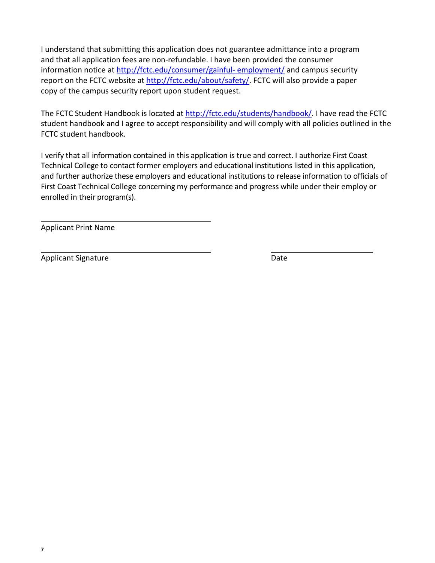I understand that submitting this application does not guarantee admittance into a program and that all application fees are non-refundable. I have been provided the consumer information notice at [http://fctc.edu/consumer/gainful-](http://fctc.edu/consumer/gainful-employment/) [employment/](http://fctc.edu/consumer/gainful-employment/) and campus security report on the FCTC website at [http://fctc.edu/about/safety/.](http://fctc.edu/about/safety/) FCTC will also provide a paper copy of the campus security report upon student request.

The FCTC Student Handbook is located at [http://fctc.edu/students/handbook/.](http://fctc.edu/students/handbook/) I have read the FCTC student handbook and I agree to accept responsibility and will comply with all policies outlined in the FCTC student handbook.

I verify that all information contained in this application is true and correct. I authorize First Coast Technical College to contact former employers and educational institutions listed in this application, and further authorize these employers and educational institutions to release information to officials of First Coast Technical College concerning my performance and progress while under their employ or enrolled in their program(s).

Applicant Print Name

Applicant Signature Date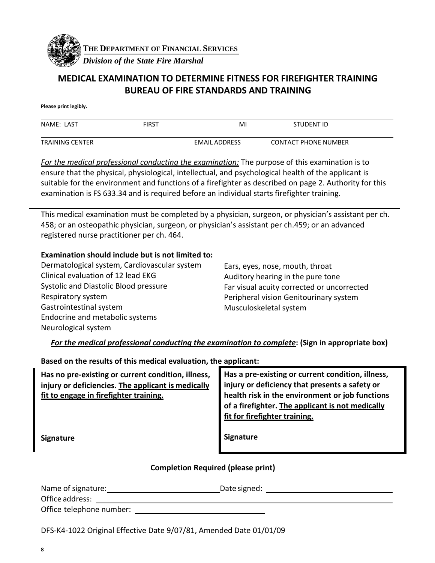

**THE DEPARTMENT OF FINANCIAL SERVICES**

*Division of the State Fire Marshal*

# **MEDICAL EXAMINATION TO DETERMINE FITNESS FOR FIREFIGHTER TRAINING BUREAU OF FIRE STANDARDS AND TRAINING**

**Please print legibly.**

| NAME: LAST             | FIRST | M                    | STUDENT ID                  |
|------------------------|-------|----------------------|-----------------------------|
| <b>TRAINING CENTER</b> |       | <b>EMAIL ADDRESS</b> | <b>CONTACT PHONE NUMBER</b> |

*For the medical professional conducting the examination:* The purpose of this examination is to ensure that the physical, physiological, intellectual, and psychological health of the applicant is suitable for the environment and functions of a firefighter as described on page 2. Authority for this examination is FS 633.34 and is required before an individual starts firefighter training.

This medical examination must be completed by a physician, surgeon, or physician's assistant per ch. 458; or an osteopathic physician, surgeon, or physician's assistant per ch.459; or an advanced registered nurse practitioner per ch. 464.

# **Examination should include but is not limited to:**

| Dermatological system, Cardiovascular system |
|----------------------------------------------|
| Clinical evaluation of 12 lead EKG           |
| Systolic and Diastolic Blood pressure        |
| Respiratory system                           |
| Gastrointestinal system                      |
| Endocrine and metabolic systems              |
| Neurological system                          |
|                                              |

Ears, eyes, nose, mouth, throat Auditory hearing in the pure tone Far visual acuity corrected or uncorrected Peripheral vision Genitourinary system Musculoskeletal system

*For the medical professional conducting the examination to complete***: (Sign in appropriate box)**

**Based on the results of this medical evaluation, the applicant:** 

| Has no pre-existing or current condition, illness, | Has a pre-existing or current condition, illness, |
|----------------------------------------------------|---------------------------------------------------|
| injury or deficiencies. The applicant is medically | injury or deficiency that presents a safety or    |
| fit to engage in firefighter training.             | health risk in the environment or job functions   |
|                                                    | of a firefighter. The applicant is not medically  |
|                                                    | fit for firefighter training.                     |
|                                                    |                                                   |
| Signature                                          | <b>Signature</b>                                  |

# **Completion Required (please print)**

| Name of signature:       | Date signed: |
|--------------------------|--------------|
| Office address:          |              |
| Office telephone number: |              |

DFS-K4-1022 Original Effective Date 9/07/81, Amended Date 01/01/09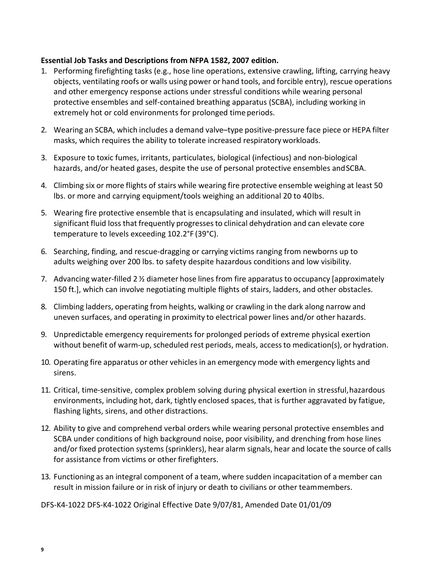## **Essential Job Tasks and Descriptions from NFPA 1582, 2007 edition.**

- 1. Performing firefighting tasks (e.g., hose line operations, extensive crawling, lifting, carrying heavy objects, ventilating roofs or walls using power or hand tools, and forcible entry), rescue operations and other emergency response actions under stressful conditions while wearing personal protective ensembles and self-contained breathing apparatus (SCBA), including working in extremely hot or cold environments for prolonged time periods.
- 2. Wearing an SCBA, which includes a demand valve–type positive-pressure face piece or HEPA filter masks, which requires the ability to tolerate increased respiratoryworkloads.
- 3. Exposure to toxic fumes, irritants, particulates, biological (infectious) and non-biological hazards, and/or heated gases, despite the use of personal protective ensembles and SCBA.
- 4. Climbing six or more flights of stairs while wearing fire protective ensemble weighing at least 50 lbs. or more and carrying equipment/tools weighing an additional 20 to 40lbs.
- 5. Wearing fire protective ensemble that is encapsulating and insulated, which will result in significant fluid loss that frequently progressesto clinical dehydration and can elevate core temperature to levels exceeding 102.2°F (39°C).
- 6. Searching, finding, and rescue-dragging or carrying victims ranging from newborns up to adults weighing over 200 lbs. to safety despite hazardous conditions and low visibility.
- 7. Advancing water-filled 2  $\frac{1}{2}$  diameter hose lines from fire apparatus to occupancy [approximately 150 ft.], which can involve negotiating multiple flights of stairs, ladders, and other obstacles.
- 8. Climbing ladders, operating from heights, walking or crawling in the dark along narrow and uneven surfaces, and operating in proximity to electrical power lines and/or other hazards.
- 9. Unpredictable emergency requirements for prolonged periods of extreme physical exertion without benefit of warm-up, scheduled rest periods, meals, accessto medication(s), or hydration.
- 10. Operating fire apparatus or other vehicles in an emergency mode with emergency lights and sirens.
- 11. Critical, time-sensitive, complex problem solving during physical exertion in stressful,hazardous environments, including hot, dark, tightly enclosed spaces, that is further aggravated by fatigue, flashing lights, sirens, and other distractions.
- 12. Ability to give and comprehend verbal orders while wearing personal protective ensembles and SCBA under conditions of high background noise, poor visibility, and drenching from hose lines and/or fixed protection systems (sprinklers), hear alarm signals, hear and locate the source of calls for assistance from victims or other firefighters.
- 13. Functioning as an integral component of a team, where sudden incapacitation of a member can result in mission failure or in risk of injury or death to civilians or other teammembers.

DFS-K4-1022 DFS-K4-1022 Original Effective Date 9/07/81, Amended Date 01/01/09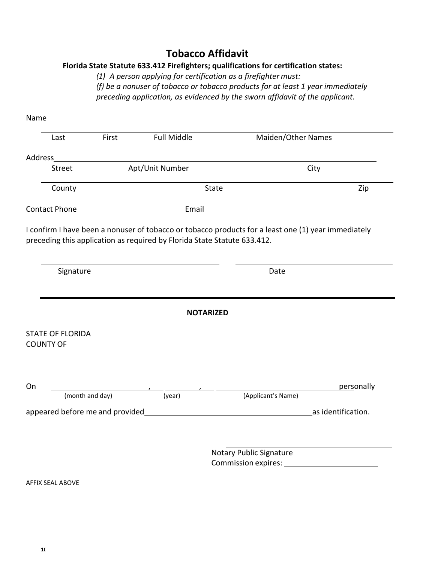# **Tobacco Affidavit**

# **Florida State Statute 633.412 Firefighters; qualifications for certification states:**

*(1) A person applying for certification as a firefighter must: (f) be a nonuser of tobacco or tobacco products for at least 1 year immediately* 

*preceding application, as evidenced by the sworn affidavit of the applicant.*

| Last                          | First           | <b>Full Middle</b>                                                                                                                                                                                                                   | Maiden/Other Names                                                                                                                                                                                                             |            |
|-------------------------------|-----------------|--------------------------------------------------------------------------------------------------------------------------------------------------------------------------------------------------------------------------------------|--------------------------------------------------------------------------------------------------------------------------------------------------------------------------------------------------------------------------------|------------|
|                               |                 | Address and the contract of the contract of the contract of the contract of the contract of the contract of the                                                                                                                      |                                                                                                                                                                                                                                |            |
| Street                        |                 | Apt/Unit Number                                                                                                                                                                                                                      | City                                                                                                                                                                                                                           |            |
| County                        |                 | State                                                                                                                                                                                                                                |                                                                                                                                                                                                                                | Zip        |
|                               |                 |                                                                                                                                                                                                                                      | Contact Phone Contact Phone Contact Phone Contact Phone Contact Phone Contact Phone Contact Phone Contact Phone Contact Phone Contact Phone Contact Phone Contact Phone Contact Phone Contact Phone Contact Phone Contact Phon |            |
| Signature                     |                 |                                                                                                                                                                                                                                      | Date                                                                                                                                                                                                                           |            |
|                               |                 |                                                                                                                                                                                                                                      |                                                                                                                                                                                                                                |            |
|                               |                 |                                                                                                                                                                                                                                      |                                                                                                                                                                                                                                |            |
|                               |                 | <b>NOTARIZED</b>                                                                                                                                                                                                                     |                                                                                                                                                                                                                                |            |
|                               |                 |                                                                                                                                                                                                                                      |                                                                                                                                                                                                                                |            |
|                               |                 |                                                                                                                                                                                                                                      |                                                                                                                                                                                                                                |            |
|                               |                 |                                                                                                                                                                                                                                      |                                                                                                                                                                                                                                |            |
|                               |                 | <u>and the state of the state of the state of the state of the state of the state of the state of the state of the state of the state of the state of the state of the state of the state of the state of the state of the state</u> |                                                                                                                                                                                                                                | personally |
|                               | (month and day) | (year)                                                                                                                                                                                                                               | (Applicant's Name)                                                                                                                                                                                                             |            |
|                               |                 |                                                                                                                                                                                                                                      | appeared before me and provided example and solution of the same state of the same state and solution.                                                                                                                         |            |
|                               |                 |                                                                                                                                                                                                                                      |                                                                                                                                                                                                                                |            |
| <b>STATE OF FLORIDA</b><br>On |                 |                                                                                                                                                                                                                                      | Notary Public Signature                                                                                                                                                                                                        |            |

AFFIX SEAL ABOVE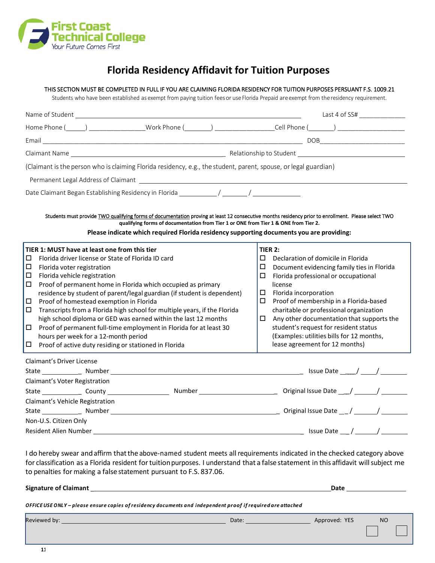

# **Florida Residency Affidavit for Tuition Purposes**

#### THIS SECTION MUST BE COMPLETED IN FULL IF YOU ARE CLAIMING FLORIDA RESIDENCY FOR TUITION PURPOSES PERSUANT F.S. 1009.21

Students who have been established as exempt from paying tuition fees or use Florida Prepaid are exempt from the residency requirement.

| Name of Student                                                                                                                                                                                                                                                                                                                        | Last 4 of SS#                                                                      |
|----------------------------------------------------------------------------------------------------------------------------------------------------------------------------------------------------------------------------------------------------------------------------------------------------------------------------------------|------------------------------------------------------------------------------------|
|                                                                                                                                                                                                                                                                                                                                        |                                                                                    |
|                                                                                                                                                                                                                                                                                                                                        |                                                                                    |
|                                                                                                                                                                                                                                                                                                                                        |                                                                                    |
| (Claimant is the person who is claiming Florida residency, e.g., the student, parent, spouse, or legal guardian)                                                                                                                                                                                                                       |                                                                                    |
| Permanent Legal Address of Claimant [1986] [1986] [1986] [1986] [1986] [1986] [1986] [1986] [1986] [1986] [1986] [1986] [1986] [1986] [1986] [1986] [1986] [1986] [1986] [1986] [1986] [1986] [1986] [1986] [1986] [1986] [198                                                                                                         |                                                                                    |
| Date Claimant Began Establishing Residency in Florida ______________/ ________/                                                                                                                                                                                                                                                        |                                                                                    |
| Students must provide TWO qualifying forms of documentation proving at least 12 consecutive months residency prior to enrollment. Please select TWO<br>qualifying forms of documentation from Tier 1 or ONE from Tier 1 & ONE from Tier 2.<br>Please indicate which required Florida residency supporting documents you are providing: |                                                                                    |
| TIER 1: MUST have at least one from this tier                                                                                                                                                                                                                                                                                          | <b>TIER 2:</b>                                                                     |
| Florida driver license or State of Florida ID card<br>□                                                                                                                                                                                                                                                                                | П.<br>Declaration of domicile in Florida                                           |
| $\Box$<br>Florida voter registration                                                                                                                                                                                                                                                                                                   | □<br>Document evidencing family ties in Florida                                    |
| $\Box$<br>Florida vehicle registration                                                                                                                                                                                                                                                                                                 | Florida professional or occupational<br>◻                                          |
| $\Box$<br>Proof of permanent home in Florida which occupied as primary                                                                                                                                                                                                                                                                 | license                                                                            |
| residence by student of parent/legal guardian (if student is dependent)                                                                                                                                                                                                                                                                | $\Box$<br>Florida incorporation                                                    |
| □<br>Proof of homestead exemption in Florida                                                                                                                                                                                                                                                                                           | □<br>Proof of membership in a Florida-based                                        |
| $\Box$<br>Transcripts from a Florida high school for multiple years, if the Florida<br>high school diploma or GED was earned within the last 12 months                                                                                                                                                                                 | charitable or professional organization<br>□                                       |
| □<br>Proof of permanent full-time employment in Florida for at least 30                                                                                                                                                                                                                                                                | Any other documentation that supports the<br>student's request for resident status |
| hours per week for a 12-month period                                                                                                                                                                                                                                                                                                   | (Examples: utilities bills for 12 months,                                          |
| $\Box$<br>Proof of active duty residing or stationed in Florida                                                                                                                                                                                                                                                                        | lease agreement for 12 months)                                                     |
| Claimant's Driver License                                                                                                                                                                                                                                                                                                              |                                                                                    |
|                                                                                                                                                                                                                                                                                                                                        |                                                                                    |
| Claimant's Voter Registration                                                                                                                                                                                                                                                                                                          |                                                                                    |
|                                                                                                                                                                                                                                                                                                                                        |                                                                                    |
| Claimant's Vehicle Registration                                                                                                                                                                                                                                                                                                        |                                                                                    |
| State Number Number Number Number 2012 12:00 Number 2014 12:00 Number 2014 12:00 Number 2014 12:00 Number 2014                                                                                                                                                                                                                         |                                                                                    |
| Non-U.S. Citizen Only                                                                                                                                                                                                                                                                                                                  |                                                                                    |
|                                                                                                                                                                                                                                                                                                                                        |                                                                                    |

I do hereby swear and affirm that the above-named student meets all requirements indicated in the checked category above for classification as a Florida resident fortuitionpurposes. I understand that a falsestatement in this affidavit willsubject me to penalties for making a false statement pursuant to F.S. 837.06.

**Signature of Claimant** \_ **Date**

*OFFICEUSE ONLY – please ensure copies of residency documents and independent proof if required are attached*

Reviewed by: Date: Approved: YES NO

(904) 547-3282 2980 CollinsAvenue St.Augustine, Florida 32084 FCTC.edu